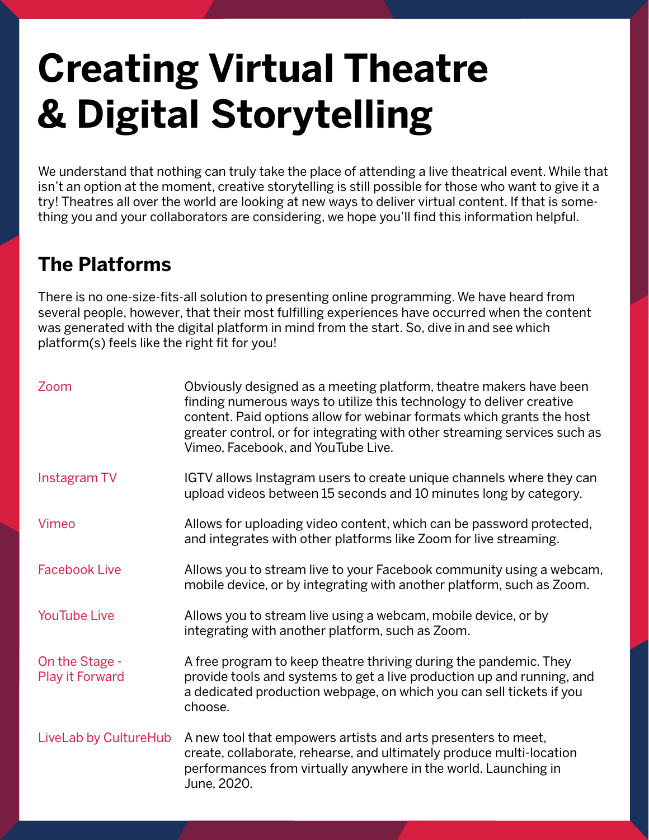## **Creating Virtual Theatre & Digital Storytelling**

We understand that nothing can truly take the place of attending a live theatrical event. While that isn't an option at the moment, creative storytelling is still possible for those who want to give it a try! Theatres all over the world are looking at new ways to deliver virtual content. If that is something you and your collaborators are considering, we hope you'll find this information helpful.

## **The Platforms**

There is no one-size-fits-all solution to presenting online programming. We have heard from several people, however, that their most fulfilling experiences have occurred when the content was generated with the digital platform in mind from the start. So, dive in and see which platform(s) feels like the right fit for you!

| Zoom                                     | Obviously designed as a meeting platform, theatre makers have been<br>finding numerous ways to utilize this technology to deliver creative<br>content. Paid options allow for webinar formats which grants the host<br>greater control, or for integrating with other streaming services such as<br>Vimeo, Facebook, and YouTube Live. |
|------------------------------------------|----------------------------------------------------------------------------------------------------------------------------------------------------------------------------------------------------------------------------------------------------------------------------------------------------------------------------------------|
| Instagram TV                             | IGTV allows Instagram users to create unique channels where they can<br>upload videos between 15 seconds and 10 minutes long by category.                                                                                                                                                                                              |
| Vimeo                                    | Allows for uploading video content, which can be password protected,<br>and integrates with other platforms like Zoom for live streaming.                                                                                                                                                                                              |
| <b>Facebook Live</b>                     | Allows you to stream live to your Facebook community using a webcam,<br>mobile device, or by integrating with another platform, such as Zoom.                                                                                                                                                                                          |
| <b>YouTube Live</b>                      | Allows you to stream live using a webcam, mobile device, or by<br>integrating with another platform, such as Zoom.                                                                                                                                                                                                                     |
| On the Stage -<br><b>Play it Forward</b> | A free program to keep theatre thriving during the pandemic. They<br>provide tools and systems to get a live production up and running, and<br>a dedicated production webpage, on which you can sell tickets if you<br>choose.                                                                                                         |
| LiveLab by CultureHub                    | A new tool that empowers artists and arts presenters to meet,<br>create, collaborate, rehearse, and ultimately produce multi-location<br>performances from virtually anywhere in the world. Launching in<br>June, 2020.                                                                                                                |